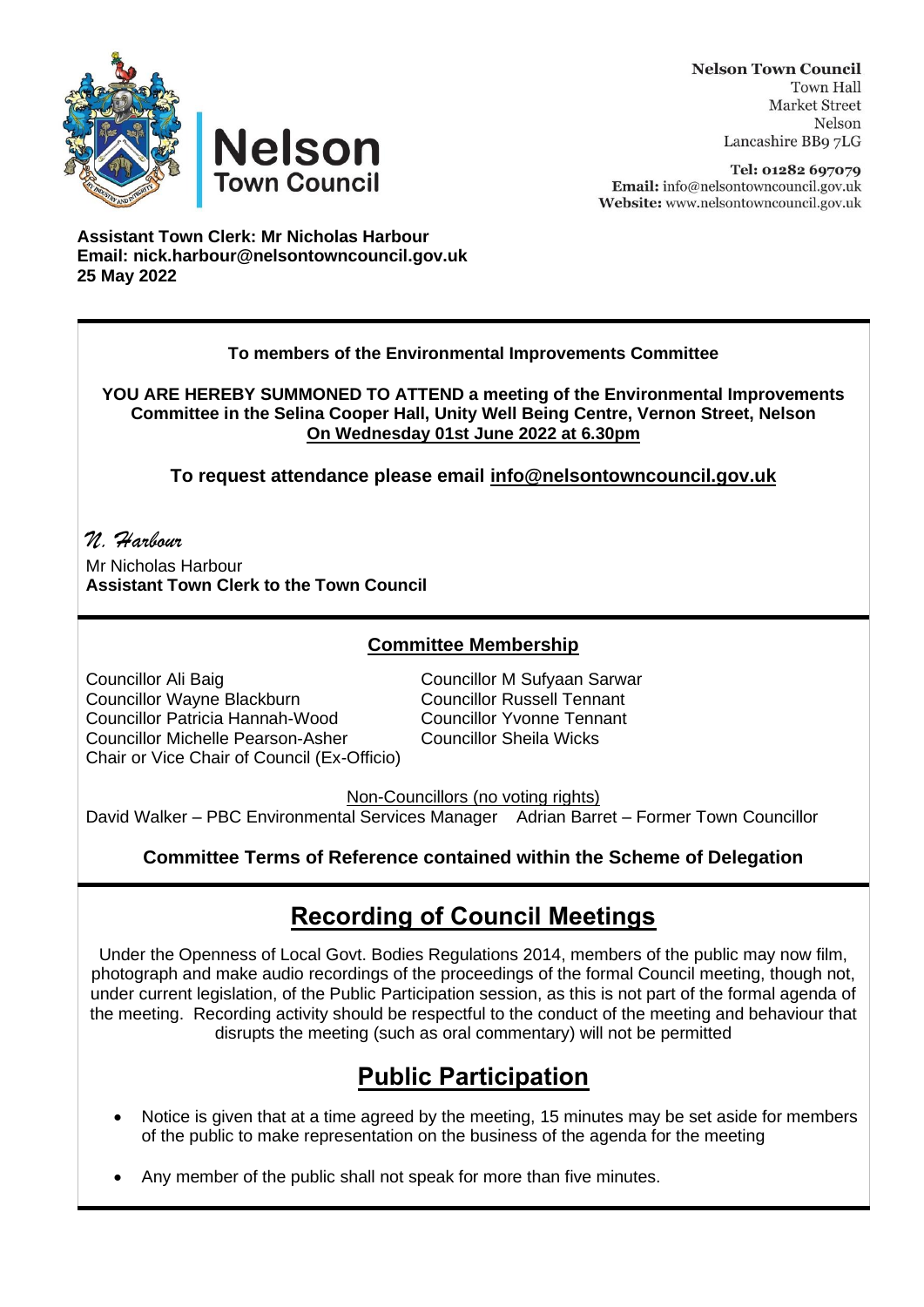



**Nelson Town Council Town Hall Market Street** Nelson Lancashire BB9 7LG

Tel: 01282 697079 Email: info@nelsontowncouncil.gov.uk Website: www.nelsontowncouncil.gov.uk

**Assistant Town Clerk: Mr Nicholas Harbour Email: nick.harbour@nelsontowncouncil.gov.uk 25 May 2022** 

#### **To members of the Environmental Improvements Committee**

**YOU ARE HEREBY SUMMONED TO ATTEND a meeting of the Environmental Improvements Committee in the Selina Cooper Hall, Unity Well Being Centre, Vernon Street, Nelson On Wednesday 01st June 2022 at 6.30pm**

**To request attendance please email [info@nelsontowncouncil.gov.uk](mailto:info@nelsontowncouncil.gov.uk)**

*N. Harbour*  Mr Nicholas Harbour **Assistant Town Clerk to the Town Council**

### **Committee Membership**

Councillor Ali Baig Councillor M Sufyaan Sarwar Councillor Wayne Blackburn Councillor Russell Tennant Councillor Patricia Hannah-Wood Councillor Yvonne Tennant Councillor Michelle Pearson-Asher Councillor Sheila Wicks Chair or Vice Chair of Council (Ex-Officio)

Non-Councillors (no voting rights)

David Walker – PBC Environmental Services Manager Adrian Barret – Former Town Councillor

### **Committee Terms of Reference contained within the Scheme of Delegation**

# **Recording of Council Meetings**

Under the Openness of Local Govt. Bodies Regulations 2014, members of the public may now film, photograph and make audio recordings of the proceedings of the formal Council meeting, though not, under current legislation, of the Public Participation session, as this is not part of the formal agenda of the meeting. Recording activity should be respectful to the conduct of the meeting and behaviour that disrupts the meeting (such as oral commentary) will not be permitted

# **Public Participation**

- Notice is given that at a time agreed by the meeting, 15 minutes may be set aside for members of the public to make representation on the business of the agenda for the meeting
- Any member of the public shall not speak for more than five minutes.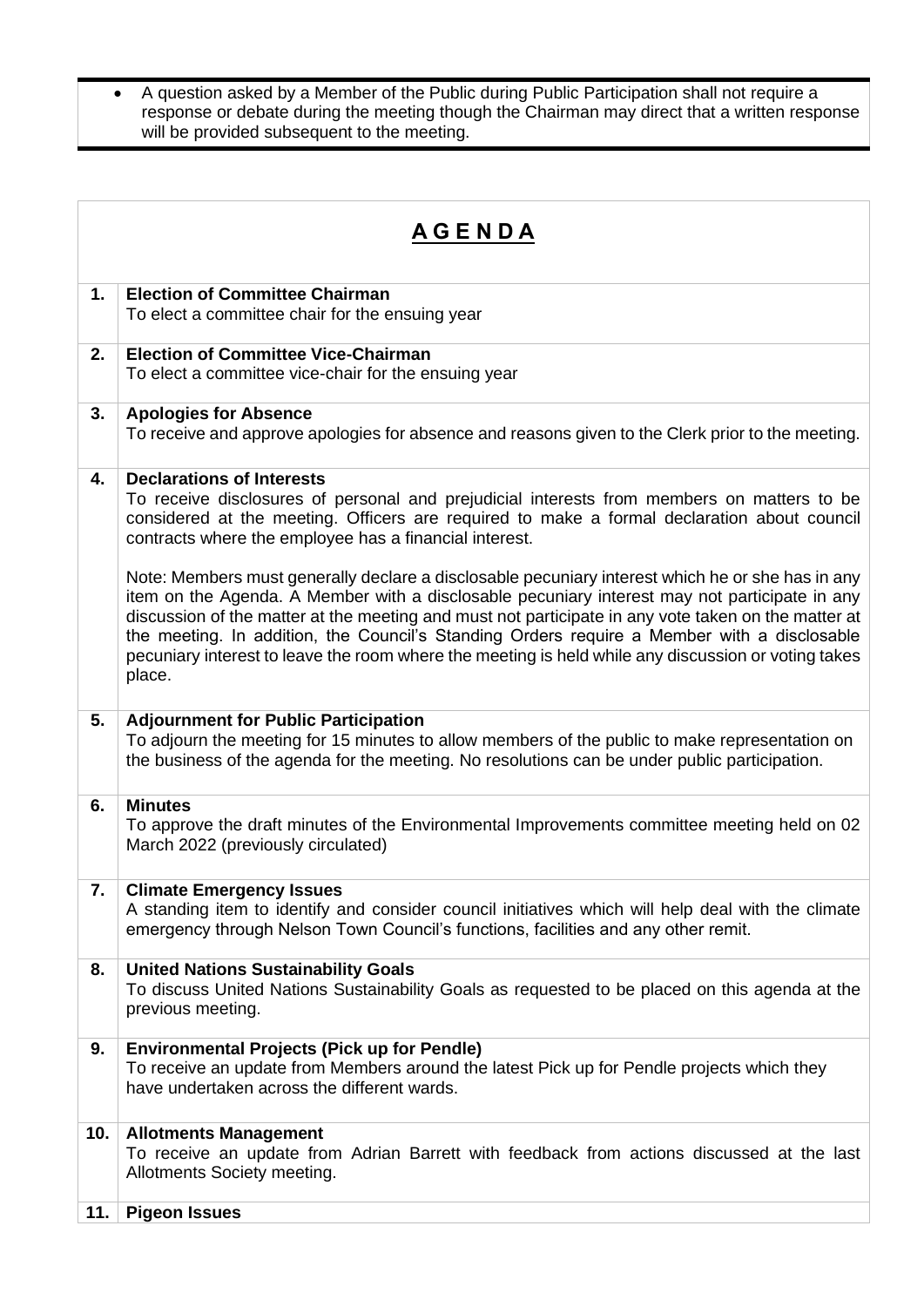• A question asked by a Member of the Public during Public Participation shall not require a response or debate during the meeting though the Chairman may direct that a written response will be provided subsequent to the meeting.

| <u>AGENDA</u> |                                                                                                                                                                                                                                                                                                                                                                                                                                                                                                                          |
|---------------|--------------------------------------------------------------------------------------------------------------------------------------------------------------------------------------------------------------------------------------------------------------------------------------------------------------------------------------------------------------------------------------------------------------------------------------------------------------------------------------------------------------------------|
| 1.            | <b>Election of Committee Chairman</b><br>To elect a committee chair for the ensuing year                                                                                                                                                                                                                                                                                                                                                                                                                                 |
| 2.            | <b>Election of Committee Vice-Chairman</b><br>To elect a committee vice-chair for the ensuing year                                                                                                                                                                                                                                                                                                                                                                                                                       |
| 3.            | <b>Apologies for Absence</b><br>To receive and approve apologies for absence and reasons given to the Clerk prior to the meeting.                                                                                                                                                                                                                                                                                                                                                                                        |
| 4.            | <b>Declarations of Interests</b><br>To receive disclosures of personal and prejudicial interests from members on matters to be<br>considered at the meeting. Officers are required to make a formal declaration about council<br>contracts where the employee has a financial interest.                                                                                                                                                                                                                                  |
|               | Note: Members must generally declare a disclosable pecuniary interest which he or she has in any<br>item on the Agenda. A Member with a disclosable pecuniary interest may not participate in any<br>discussion of the matter at the meeting and must not participate in any vote taken on the matter at<br>the meeting. In addition, the Council's Standing Orders require a Member with a disclosable<br>pecuniary interest to leave the room where the meeting is held while any discussion or voting takes<br>place. |
| 5.            | <b>Adjournment for Public Participation</b><br>To adjourn the meeting for 15 minutes to allow members of the public to make representation on<br>the business of the agenda for the meeting. No resolutions can be under public participation.                                                                                                                                                                                                                                                                           |
| 6.            | <b>Minutes</b><br>To approve the draft minutes of the Environmental Improvements committee meeting held on 02<br>March 2022 (previously circulated)                                                                                                                                                                                                                                                                                                                                                                      |
| 7.            | <b>Climate Emergency Issues</b><br>A standing item to identify and consider council initiatives which will help deal with the climate<br>emergency through Nelson Town Council's functions, facilities and any other remit.                                                                                                                                                                                                                                                                                              |
| 8.            | <b>United Nations Sustainability Goals</b><br>To discuss United Nations Sustainability Goals as requested to be placed on this agenda at the<br>previous meeting.                                                                                                                                                                                                                                                                                                                                                        |
| 9.            | <b>Environmental Projects (Pick up for Pendle)</b><br>To receive an update from Members around the latest Pick up for Pendle projects which they<br>have undertaken across the different wards.                                                                                                                                                                                                                                                                                                                          |
| 10.           | <b>Allotments Management</b><br>To receive an update from Adrian Barrett with feedback from actions discussed at the last<br>Allotments Society meeting.                                                                                                                                                                                                                                                                                                                                                                 |
| 11.           | <b>Pigeon Issues</b>                                                                                                                                                                                                                                                                                                                                                                                                                                                                                                     |